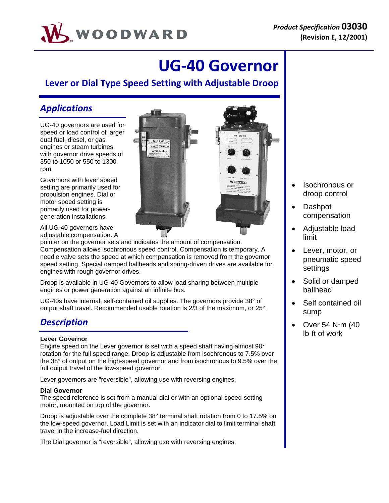

# **UG‐40 Governor**

**Lever or Dial Type Speed Setting with Adjustable Droop**

#### *Applications*

UG-40 governors are used for speed or load control of larger dual fuel, diesel, or gas engines or steam turbines with governor drive speeds of 350 to 1050 or 550 to 1300 rpm.

Governors with lever speed setting are primarily used for propulsion engines. Dial or motor speed setting is primarily used for powergeneration installations.

All UG-40 governors have adiustable compensation. A

pointer on the governor sets and indicates the amount of compensation. Compensation allows isochronous speed control. Compensation is temporary. A needle valve sets the speed at which compensation is removed from the governor speed setting. Special damped ballheads and spring-driven drives are available for engines with rough governor drives.

Droop is available in UG-40 Governors to allow load sharing between multiple engines or power generation against an infinite bus.

UG-40s have internal, self-contained oil supplies. The governors provide 38° of output shaft travel. Recommended usable rotation is 2/3 of the maximum, or 25°.

### *Description*

#### **Lever Governor**

Engine speed on the Lever governor is set with a speed shaft having almost 90° rotation for the full speed range. Droop is adjustable from isochronous to 7.5% over the 38° of output on the high-speed governor and from isochronous to 9.5% over the full output travel of the low-speed governor.

Lever governors are "reversible", allowing use with reversing engines.

#### **Dial Governor**

The speed reference is set from a manual dial or with an optional speed-setting motor, mounted on top of the governor.

Droop is adjustable over the complete 38° terminal shaft rotation from 0 to 17.5% on the low-speed governor. Load Limit is set with an indicator dial to limit terminal shaft travel in the increase-fuel direction.

The Dial governor is "reversible", allowing use with reversing engines.



- Isochronous or droop control
- Dashpot compensation
- Adjustable load limit
- Lever, motor, or pneumatic speed settings
- Solid or damped ballhead
- Self contained oil sump
- $\bullet$  Over 54 N $\cdot$ m (40 lb-ft of work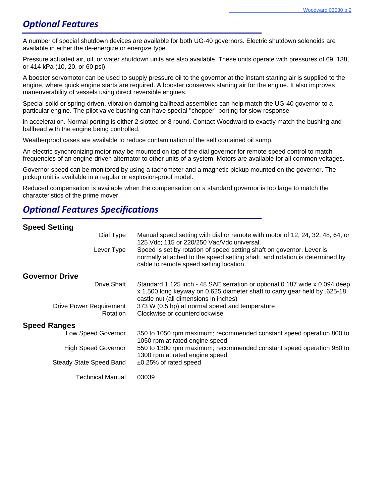### *Optional Features*

A number of special shutdown devices are available for both UG-40 governors. Electric shutdown solenoids are available in either the de-energize or energize type.

Pressure actuated air, oil, or water shutdown units are also available. These units operate with pressures of 69, 138, or 414 kPa (10, 20, or 60 psi).

A booster servomotor can be used to supply pressure oil to the governor at the instant starting air is supplied to the engine, where quick engine starts are required. A booster conserves starting air for the engine. It also improves maneuverability of vessels using direct reversible engines.

Special solid or spring-driven, vibration-damping ballhead assemblies can help match the UG-40 governor to a particular engine. The pilot valve bushing can have special "chopper" porting for slow response

in acceleration. Normal porting is either 2 slotted or 8 round. Contact Woodward to exactly match the bushing and ballhead with the engine being controlled.

Weatherproof cases are available to reduce contamination of the self contained oil sump.

An electric synchronizing motor may be mounted on top of the dial governor for remote speed control to match frequencies of an engine-driven alternator to other units of a system. Motors are available for all common voltages.

Governor speed can be monitored by using a tachometer and a magnetic pickup mounted on the governor. The pickup unit is available in a regular or explosion-proof model.

Reduced compensation is available when the compensation on a standard governor is too large to match the characteristics of the prime mover.

#### *Optional Features Specifications*

#### **Speed Setting**

| Dial Type                                  | Manual speed setting with dial or remote with motor of 12, 24, 32, 48, 64, or<br>125 Vdc; 115 or 220/250 Vac/Vdc universal.                                                                      |
|--------------------------------------------|--------------------------------------------------------------------------------------------------------------------------------------------------------------------------------------------------|
| Lever Type                                 | Speed is set by rotation of speed setting shaft on governor. Lever is<br>normally attached to the speed setting shaft, and rotation is determined by<br>cable to remote speed setting location.  |
| <b>Governor Drive</b>                      |                                                                                                                                                                                                  |
| <b>Drive Shaft</b>                         | Standard 1.125 inch - 48 SAE serration or optional 0.187 wide x 0.094 deep<br>x 1.500 long keyway on 0.625 diameter shaft to carry gear held by .625-18<br>castle nut (all dimensions in inches) |
| <b>Drive Power Requirement</b><br>Rotation | 373 W (0.5 hp) at normal speed and temperature<br>Clockwise or counterclockwise                                                                                                                  |
| <b>Speed Ranges</b>                        |                                                                                                                                                                                                  |
| Low Speed Governor                         | 350 to 1050 rpm maximum; recommended constant speed operation 800 to<br>1050 rpm at rated engine speed                                                                                           |
| <b>High Speed Governor</b>                 | 550 to 1300 rpm maximum; recommended constant speed operation 950 to<br>1300 rpm at rated engine speed                                                                                           |
| <b>Steady State Speed Band</b>             | $±0.25\%$ of rated speed                                                                                                                                                                         |
| <b>Technical Manual</b>                    | 03039                                                                                                                                                                                            |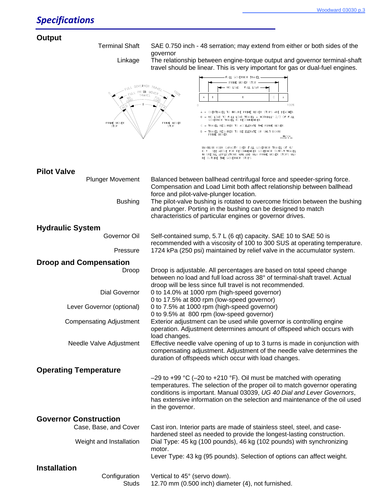## **Outp**

| Output                         |                                                                                                                                                                                |
|--------------------------------|--------------------------------------------------------------------------------------------------------------------------------------------------------------------------------|
| <b>Terminal Shaft</b>          | SAE 0.750 inch - 48 serration; may extend from either or both sides of the                                                                                                     |
| Linkage                        | governor<br>The relationship between engine-torque output and governor terminal-shaft                                                                                          |
|                                | travel should be linear. This is very important for gas or dual-fuel engines.                                                                                                  |
| GOVERNOR TRAVEL                | FULL GOVERNOR TRAVEL<br>PRIME MOVER STOP                                                                                                                                       |
| $\zeta$ ULL<br>TRAVEL          | NO LOAD FULL LOAD -<br>PRIME MOVER                                                                                                                                             |
|                                | D<br>в<br>c<br>А<br>$\overline{A}$                                                                                                                                             |
|                                | 100%<br>$\Omega$<br>A - OVERTRAVEL TO INSURE PRIME MOVER STOPS ARE REACHED.                                                                                                    |
|                                | NO LOAD TO FULL LOAD TRAVEL - NORMALLY 2/3 OF FULL<br>GOVERNOR TRAVEL IS RECOMMENDED.                                                                                          |
| PRIME MOVER<br>STOP            | PRIME MOVER<br>- TRAVEL REQUIRED TO ACCELERATE THE PRIME MOVER.<br>STOP                                                                                                        |
|                                | - TRAVEL REQUIRED TO DECELERATE OR SHUT DOWN<br>PRIME MOVER.<br>— МІ−153a<br>98−04−14 skx                                                                                      |
|                                | MAXIMUM WORK CAPACITY OVER FULL GOVERNOR TRAVEL OF 42°<br>IS * . SEE ABOVE FOR RECOMMENDED GOVERNOR OUTPUT TRAVEL<br>IN SPECIAL APPLICATIONS MIN AND MAX PRIME MOVER STOPS MAY |
|                                | BE OUTSIDE THE GOVERNOR STOPS.                                                                                                                                                 |
| <b>Pilot Valve</b>             |                                                                                                                                                                                |
| <b>Plunger Movement</b>        | Balanced between ballhead centrifugal force and speeder-spring force.                                                                                                          |
|                                | Compensation and Load Limit both affect relationship between ballhead                                                                                                          |
|                                | force and pilot-valve-plunger location.                                                                                                                                        |
| <b>Bushing</b>                 | The pilot-valve bushing is rotated to overcome friction between the bushing<br>and plunger. Porting in the bushing can be designed to match                                    |
|                                | characteristics of particular engines or governor drives.                                                                                                                      |
|                                |                                                                                                                                                                                |
| <b>Hydraulic System</b>        |                                                                                                                                                                                |
| Governor Oil                   | Self-contained sump, 5.7 L (6 qt) capacity. SAE 10 to SAE 50 is                                                                                                                |
| Pressure                       | recommended with a viscosity of 100 to 300 SUS at operating temperature.<br>1724 kPa (250 psi) maintained by relief valve in the accumulator system.                           |
| <b>Droop and Compensation</b>  |                                                                                                                                                                                |
| Droop                          | Droop is adjustable. All percentages are based on total speed change<br>between no load and full load across 38° of terminal-shaft travel. Actual                              |
| Dial Governor                  | droop will be less since full travel is not recommended.<br>0 to 14.0% at 1000 rpm (high-speed governor)                                                                       |
|                                | 0 to 17.5% at 800 rpm (low-speed governor)                                                                                                                                     |
| Lever Governor (optional)      | 0 to 7.5% at 1000 rpm (high-speed governor)                                                                                                                                    |
| <b>Compensating Adjustment</b> | 0 to 9.5% at 800 rpm (low-speed governor)<br>Exterior adjustment can be used while governor is controlling engine                                                              |
|                                | operation. Adjustment determines amount of offspeed which occurs with<br>load changes.                                                                                         |
| Needle Valve Adjustment        | Effective needle valve opening of up to 3 turns is made in conjunction with                                                                                                    |
|                                | compensating adjustment. Adjustment of the needle valve determines the                                                                                                         |
|                                | duration of offspeeds which occur with load changes.                                                                                                                           |
| <b>Operating Temperature</b>   |                                                                                                                                                                                |
|                                | $-29$ to +99 °C (-20 to +210 °F). Oil must be matched with operating                                                                                                           |
|                                | temperatures. The selection of the proper oil to match governor operating                                                                                                      |
|                                | conditions is important. Manual 03039, UG 40 Dial and Lever Governors,                                                                                                         |
|                                | has extensive information on the selection and maintenance of the oil used                                                                                                     |
|                                | in the governor.                                                                                                                                                               |
| <b>Governor Construction</b>   |                                                                                                                                                                                |
| Case, Base, and Cover          | Cast iron. Interior parts are made of stainless steel, steel, and case-                                                                                                        |
|                                | hardened steel as needed to provide the longest-lasting construction.                                                                                                          |
| Weight and Installation        | Dial Type: 45 kg (100 pounds), 46 kg (102 pounds) with synchronizing                                                                                                           |
|                                | motor.<br>Lever Type: 43 kg (95 pounds). Selection of options can affect weight.                                                                                               |
|                                |                                                                                                                                                                                |
| <b>Installation</b>            |                                                                                                                                                                                |
| Configuration<br><b>Studs</b>  | Vertical to 45° (servo down).<br>12.70 mm (0.500 inch) diameter (4), not furnished.                                                                                            |